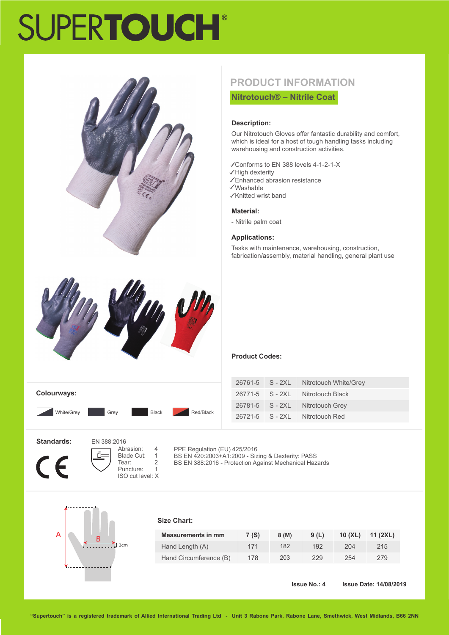# **SUPERTOUCH®**



## **PRODUCT INFORMATION**

**Nitrotouch® – Nitrile Coat**

#### **Description:**

Our Nitrotouch Gloves offer fantastic durability and comfort, which is ideal for a host of tough handling tasks including warehousing and construction activities.

- Conforms to EN 388 levels 4-1-2-1-X
- $\checkmark$  High dexterity
- Enhanced abrasion resistance
- Washable Knitted wrist band
- 

### **Material:**

- Nitrile palm coat

#### **Applications:**

Tasks with maintenance, warehousing, construction, fabrication/assembly, material handling, general plant use

| <b>Colourways:</b> |      |              |           |
|--------------------|------|--------------|-----------|
| White/Grey         | Grey | <b>Black</b> | Red/Black |

#### **Product Codes:**

|  | 26761-5 S - 2XL Nitrotouch White/Grey |
|--|---------------------------------------|
|  | 26771-5 S - 2XL Nitrotouch Black      |
|  | 26781-5 S - 2XL Nitrotouch Grey       |
|  | 26721-5 S - 2XI Nitrotouch Red        |

**Standards:**



 EN 388:2016 Abrasion: 4<br>Blade Cut: 1 Blade Cut: 1<br>Tear: 2 Tear: 2<br>Puncture: 1 Puncture: ISO cut level: X

PPE Regulation (EU) 425/2016 BS EN 420:2003+A1:2009 - Sizing & Dexterity: PASS BS EN 388:2016 - Protection Against Mechanical Hazards



#### **Size Chart:**

| <b>Measurements in mm</b> | 7 (S) | 8(M) | 9(L) | $10$ (XL) | 11 (2XL) |
|---------------------------|-------|------|------|-----------|----------|
| Hand Length (A)           | 171   | 182  | 192  | 204       | 215      |
| Hand Circumference (B)    | 178   | 203  | 229  | 254       | 279      |

**Issue No.: 4 Issue Date: 14/08/2019**